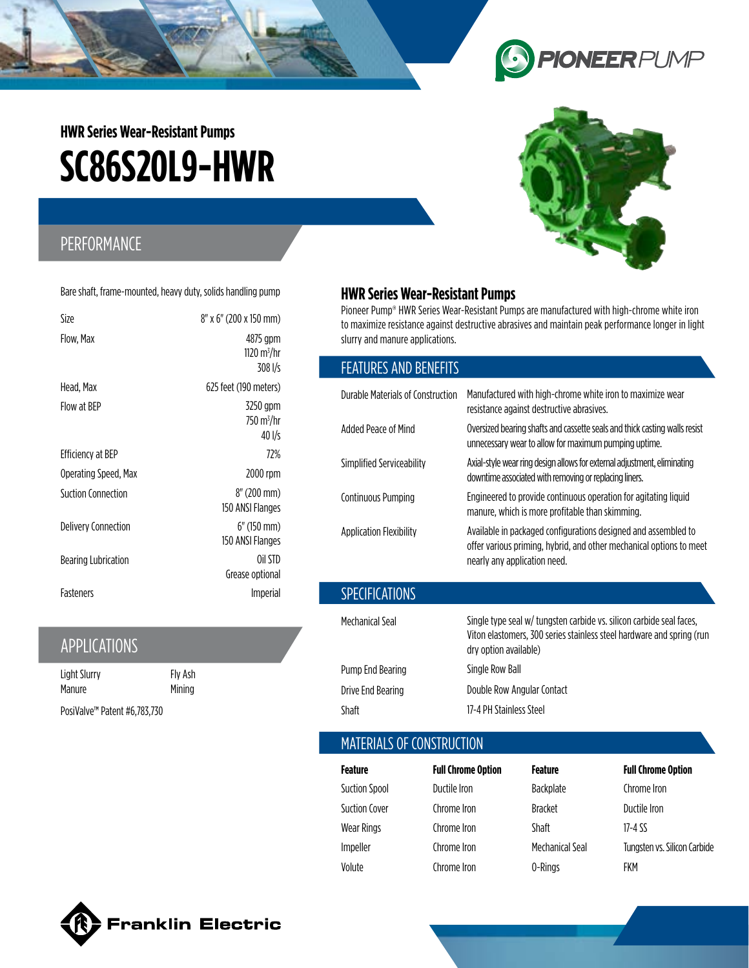

# **SC86S20L9-HWR HWR Series Wear-Resistant Pumps**

## PERFORMANCE

Bare shaft, frame-mounted, heavy duty, solids handling pump

| Size                     | 8" x 6" (200 x 150 mm)                         |
|--------------------------|------------------------------------------------|
| Flow, Max                | 4875 gpm<br>1120 m <sup>3</sup> /hr<br>308 l/s |
| Head. Max                | 625 feet (190 meters)                          |
| Flow at BEP              | 3250 gpm<br>750 m <sup>3</sup> /hr<br>40 l/s   |
| <b>Efficiency at BEP</b> | 72%                                            |
| Operating Speed, Max     | 2000 rpm                                       |
| Suction Connection       | 8" (200 mm)<br>150 ANSI Flanges                |
| Delivery Connection      | $6''$ (150 mm)<br>150 ANSI Flanges             |
| Bearing Lubrication      | Oil STD<br>Grease optional                     |
| <b>Fasteners</b>         | <i>Imperial</i>                                |

## APPLICATIONS

| Light Slurry                             | Fly Ash |
|------------------------------------------|---------|
| Manure                                   | Mining  |
| PosiValve <sup>™</sup> Patent #6,783,730 |         |

#### **HWR Series Wear-Resistant Pumps**

Pioneer Pump® HWR Series Wear-Resistant Pumps are manufactured with high-chrome white iron to maximize resistance against destructive abrasives and maintain peak performance longer in light slurry and manure applications.

#### FEATURES AND BENEFITS

| Durable Materials of Construction | Manufactured with high-chrome white iron to maximize wear<br>resistance against destructive abrasives.                                                                 |  |
|-----------------------------------|------------------------------------------------------------------------------------------------------------------------------------------------------------------------|--|
| Added Peace of Mind               | Oversized bearing shafts and cassette seals and thick casting walls resist<br>unnecessary wear to allow for maximum pumping uptime.                                    |  |
| Simplified Serviceability         | Axial-style wear ring design allows for external adjustment, eliminating<br>downtime associated with removing or replacing liners.                                     |  |
| Continuous Pumping                | Engineered to provide continuous operation for agitating liquid<br>manure, which is more profitable than skimming.                                                     |  |
| <b>Application Flexibility</b>    | Available in packaged configurations designed and assembled to<br>offer various priming, hybrid, and other mechanical options to meet<br>nearly any application need.  |  |
| <b>SPECIFICATIONS</b>             |                                                                                                                                                                        |  |
| Mechanical Seal                   | Single type seal w/ tungsten carbide vs. silicon carbide seal faces,<br>Viton elastomers, 300 series stainless steel hardware and spring (run<br>dry option available) |  |
| Pump End Bearing                  | Single Row Ball                                                                                                                                                        |  |

Drive End Bearing **Double Row Angular Contact** Shaft 17-4 PH Stainless Steel

### MATERIALS OF CONSTRUCTION

| Feature              | <b>Full Chrome Option</b> | Feature         | <b>Full Chrome Option</b>    |
|----------------------|---------------------------|-----------------|------------------------------|
| <b>Suction Spool</b> | Ductile Iron              | Backplate       | Chrome Iron                  |
| <b>Suction Cover</b> | Chrome Iron               | <b>Bracket</b>  | Ductile Iron                 |
| <b>Wear Rings</b>    | Chrome Iron               | <b>Shaft</b>    | 17-4 SS                      |
| Impeller             | Chrome Iron               | Mechanical Seal | Tungsten vs. Silicon Carbide |
| Volute               | Chrome Iron               | 0-Rings         | FKM                          |